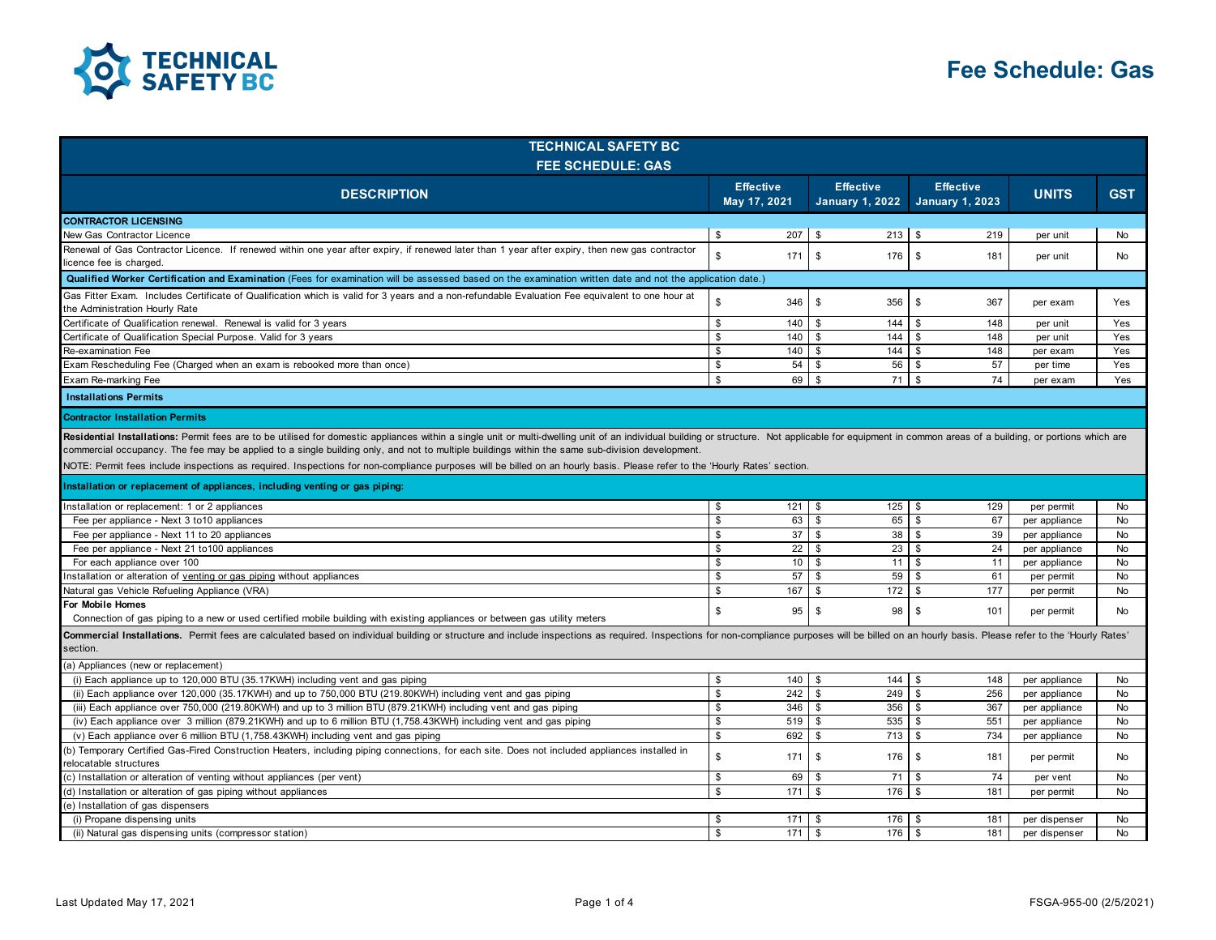

| <b>TECHNICAL SAFETY BC</b>                                                                                                                                                                                                                                                                                                                                                                                                                                                                                                                                                                                                                                                                                                                                                                                                                                                      |                                  |                 |                                            |                                            |               |            |  |
|---------------------------------------------------------------------------------------------------------------------------------------------------------------------------------------------------------------------------------------------------------------------------------------------------------------------------------------------------------------------------------------------------------------------------------------------------------------------------------------------------------------------------------------------------------------------------------------------------------------------------------------------------------------------------------------------------------------------------------------------------------------------------------------------------------------------------------------------------------------------------------|----------------------------------|-----------------|--------------------------------------------|--------------------------------------------|---------------|------------|--|
| <b>FEE SCHEDULE: GAS</b>                                                                                                                                                                                                                                                                                                                                                                                                                                                                                                                                                                                                                                                                                                                                                                                                                                                        |                                  |                 |                                            |                                            |               |            |  |
| <b>DESCRIPTION</b>                                                                                                                                                                                                                                                                                                                                                                                                                                                                                                                                                                                                                                                                                                                                                                                                                                                              | <b>Effective</b><br>May 17, 2021 |                 | <b>Effective</b><br><b>January 1, 2022</b> | <b>Effective</b><br><b>January 1, 2023</b> | <b>UNITS</b>  | <b>GST</b> |  |
| <b>CONTRACTOR LICENSING</b>                                                                                                                                                                                                                                                                                                                                                                                                                                                                                                                                                                                                                                                                                                                                                                                                                                                     |                                  |                 |                                            |                                            |               |            |  |
| New Gas Contractor Licence                                                                                                                                                                                                                                                                                                                                                                                                                                                                                                                                                                                                                                                                                                                                                                                                                                                      | \$                               | 207             | $213$ \$<br>\$                             | 219                                        | per unit      | No         |  |
| Renewal of Gas Contractor Licence. If renewed within one year after expiry, if renewed later than 1 year after expiry, then new gas contractor<br>licence fee is charged.                                                                                                                                                                                                                                                                                                                                                                                                                                                                                                                                                                                                                                                                                                       | $\mathfrak{s}$                   | 171             | \$<br>176                                  | \$<br>181                                  | per unit      | <b>No</b>  |  |
| Qualified Worker Certification and Examination (Fees for examination will be assessed based on the examination written date and not the application date.)                                                                                                                                                                                                                                                                                                                                                                                                                                                                                                                                                                                                                                                                                                                      |                                  |                 |                                            |                                            |               |            |  |
| Gas Fitter Exam. Includes Certificate of Qualification which is valid for 3 years and a non-refundable Evaluation Fee equivalent to one hour at<br>the Administration Hourly Rate                                                                                                                                                                                                                                                                                                                                                                                                                                                                                                                                                                                                                                                                                               | $\mathfrak s$                    | 346             | \$<br>356                                  | \$<br>367                                  | per exam      | Yes        |  |
| Certificate of Qualification renewal. Renewal is valid for 3 years                                                                                                                                                                                                                                                                                                                                                                                                                                                                                                                                                                                                                                                                                                                                                                                                              | \$                               | 140             | 144<br>\$                                  | 148<br>\$                                  | per unit      | Yes        |  |
| Certificate of Qualification Special Purpose. Valid for 3 years                                                                                                                                                                                                                                                                                                                                                                                                                                                                                                                                                                                                                                                                                                                                                                                                                 | \$                               | 140             | \$<br>144                                  | \$<br>148                                  | per unit      | Yes        |  |
| Re-examination Fee                                                                                                                                                                                                                                                                                                                                                                                                                                                                                                                                                                                                                                                                                                                                                                                                                                                              | \$                               | 140             | \$<br>144                                  | \$<br>148                                  | per exam      | Yes        |  |
| Exam Rescheduling Fee (Charged when an exam is rebooked more than once)                                                                                                                                                                                                                                                                                                                                                                                                                                                                                                                                                                                                                                                                                                                                                                                                         | \$                               | 54              | 56<br>\$                                   | 57<br>\$                                   | per time      | Yes        |  |
| Exam Re-marking Fee                                                                                                                                                                                                                                                                                                                                                                                                                                                                                                                                                                                                                                                                                                                                                                                                                                                             | $\mathfrak{L}$                   | 69              | \$<br>$71$ \$                              | 74                                         | per exam      | Yes        |  |
| <b>Installations Permits</b>                                                                                                                                                                                                                                                                                                                                                                                                                                                                                                                                                                                                                                                                                                                                                                                                                                                    |                                  |                 |                                            |                                            |               |            |  |
| <b>Contractor Installation Permits</b>                                                                                                                                                                                                                                                                                                                                                                                                                                                                                                                                                                                                                                                                                                                                                                                                                                          |                                  |                 |                                            |                                            |               |            |  |
| Residential Installations: Permit fees are to be utilised for domestic appliances within a single unit or multi-dwelling unit of an individual building or structure. Not applicable for equipment in common areas of a buildi<br>commercial occupancy. The fee may be applied to a single building only, and not to multiple buildings within the same sub-division development.<br>NOTE: Permit fees include inspections as required. Inspections for non-compliance purposes will be billed on an hourly basis. Please refer to the 'Hourly Rates' section.<br>Installation or replacement of appliances, including venting or gas piping:<br>$121 \quad$ \$<br>$125 - $$<br>Installation or replacement: 1 or 2 appliances<br>\$<br>129<br>per permit<br><b>No</b><br>\$<br>63<br>l \$<br>65 \$<br>67<br>Fee per appliance - Next 3 to 10 appliances<br>No<br>per appliance |                                  |                 |                                            |                                            |               |            |  |
| Fee per appliance - Next 11 to 20 appliances                                                                                                                                                                                                                                                                                                                                                                                                                                                                                                                                                                                                                                                                                                                                                                                                                                    | \$                               | 37              | <b>S</b><br>38S                            | 39                                         | per appliance | No         |  |
| Fee per appliance - Next 21 to 100 appliances                                                                                                                                                                                                                                                                                                                                                                                                                                                                                                                                                                                                                                                                                                                                                                                                                                   | \$                               | 22              | 23<br>- \$                                 | l \$<br>24                                 | per appliance | <b>No</b>  |  |
| For each appliance over 100                                                                                                                                                                                                                                                                                                                                                                                                                                                                                                                                                                                                                                                                                                                                                                                                                                                     | \$                               | 10 <sup>1</sup> | \$<br>$11$ $\sqrt{5}$                      | 11                                         | per appliance | No         |  |
| Installation or alteration of venting or gas piping without appliances                                                                                                                                                                                                                                                                                                                                                                                                                                                                                                                                                                                                                                                                                                                                                                                                          | \$                               | 57              | \$<br>59                                   | \$<br>61                                   | per permit    | No         |  |
| Natural gas Vehicle Refueling Appliance (VRA)                                                                                                                                                                                                                                                                                                                                                                                                                                                                                                                                                                                                                                                                                                                                                                                                                                   | \$                               | 167             | \$<br>$172 \quad$ \$                       | 177                                        | per permit    | No         |  |
| For Mobile Homes<br>Connection of gas piping to a new or used certified mobile building with existing appliances or between gas utility meters                                                                                                                                                                                                                                                                                                                                                                                                                                                                                                                                                                                                                                                                                                                                  | $\mathbb S$                      | 95              | $\mathbb{S}$<br>98                         | $\mathbf{s}$<br>101                        | per permit    | <b>No</b>  |  |
| Commercial Installations. Permit fees are calculated based on individual building or structure and include inspections as required. Inspections for non-compliance purposes will be billed on an hourly basis. Please refer to<br>section.                                                                                                                                                                                                                                                                                                                                                                                                                                                                                                                                                                                                                                      |                                  |                 |                                            |                                            |               |            |  |
| (a) Appliances (new or replacement)                                                                                                                                                                                                                                                                                                                                                                                                                                                                                                                                                                                                                                                                                                                                                                                                                                             |                                  |                 |                                            |                                            |               |            |  |
| (i) Each appliance up to 120,000 BTU (35.17KWH) including vent and gas piping                                                                                                                                                                                                                                                                                                                                                                                                                                                                                                                                                                                                                                                                                                                                                                                                   | \$                               | 140             | \$<br>144                                  | 148<br>\$                                  | per appliance | <b>No</b>  |  |
| (ii) Each appliance over 120,000 (35.17KWH) and up to 750,000 BTU (219.80KWH) including vent and gas piping                                                                                                                                                                                                                                                                                                                                                                                                                                                                                                                                                                                                                                                                                                                                                                     | \$                               | 242             | <sup>\$</sup><br>249                       | \$<br>256                                  | per appliance | <b>No</b>  |  |
| (iii) Each appliance over 750,000 (219.80KWH) and up to 3 million BTU (879.21KWH) including vent and gas piping                                                                                                                                                                                                                                                                                                                                                                                                                                                                                                                                                                                                                                                                                                                                                                 | \$                               | 346             | <sup>\$</sup><br>356                       | \$<br>367                                  | per appliance | <b>No</b>  |  |
| (iv) Each appliance over 3 million (879.21KWH) and up to 6 million BTU (1,758.43KWH) including vent and gas piping                                                                                                                                                                                                                                                                                                                                                                                                                                                                                                                                                                                                                                                                                                                                                              | \$                               | 519             | \$<br>535                                  | \$<br>551                                  | per appliance | <b>No</b>  |  |
| (v) Each appliance over 6 million BTU (1,758.43KWH) including vent and gas piping                                                                                                                                                                                                                                                                                                                                                                                                                                                                                                                                                                                                                                                                                                                                                                                               | \$                               | 692             | <sup>\$</sup><br>713                       | \$<br>734                                  | per appliance | <b>No</b>  |  |
| (b) Temporary Certified Gas-Fired Construction Heaters, including piping connections, for each site. Does not included appliances installed in<br>relocatable structures                                                                                                                                                                                                                                                                                                                                                                                                                                                                                                                                                                                                                                                                                                        | \$                               | 171             | \$<br>176                                  | S.<br>181                                  | per permit    | No         |  |
| (c) Installation or alteration of venting without appliances (per vent)                                                                                                                                                                                                                                                                                                                                                                                                                                                                                                                                                                                                                                                                                                                                                                                                         | \$                               | 69              | \$<br>71                                   | 74<br>\$                                   | per vent      | <b>No</b>  |  |
| (d) Installation or alteration of gas piping without appliances                                                                                                                                                                                                                                                                                                                                                                                                                                                                                                                                                                                                                                                                                                                                                                                                                 | \$                               | 171             | \$<br>176                                  | \$<br>181                                  | per permit    | <b>No</b>  |  |
| (e) Installation of gas dispensers                                                                                                                                                                                                                                                                                                                                                                                                                                                                                                                                                                                                                                                                                                                                                                                                                                              |                                  |                 |                                            |                                            |               |            |  |
| (i) Propane dispensing units                                                                                                                                                                                                                                                                                                                                                                                                                                                                                                                                                                                                                                                                                                                                                                                                                                                    | \$.                              | 171 \$          | 176 \$                                     | 181                                        | per dispenser | No         |  |
| (ii) Natural gas dispensing units (compressor station)                                                                                                                                                                                                                                                                                                                                                                                                                                                                                                                                                                                                                                                                                                                                                                                                                          | \$                               | 171             | \$<br>$176$ \ $\frac{1}{3}$                | 181                                        | per dispenser | <b>No</b>  |  |
|                                                                                                                                                                                                                                                                                                                                                                                                                                                                                                                                                                                                                                                                                                                                                                                                                                                                                 |                                  |                 |                                            |                                            |               |            |  |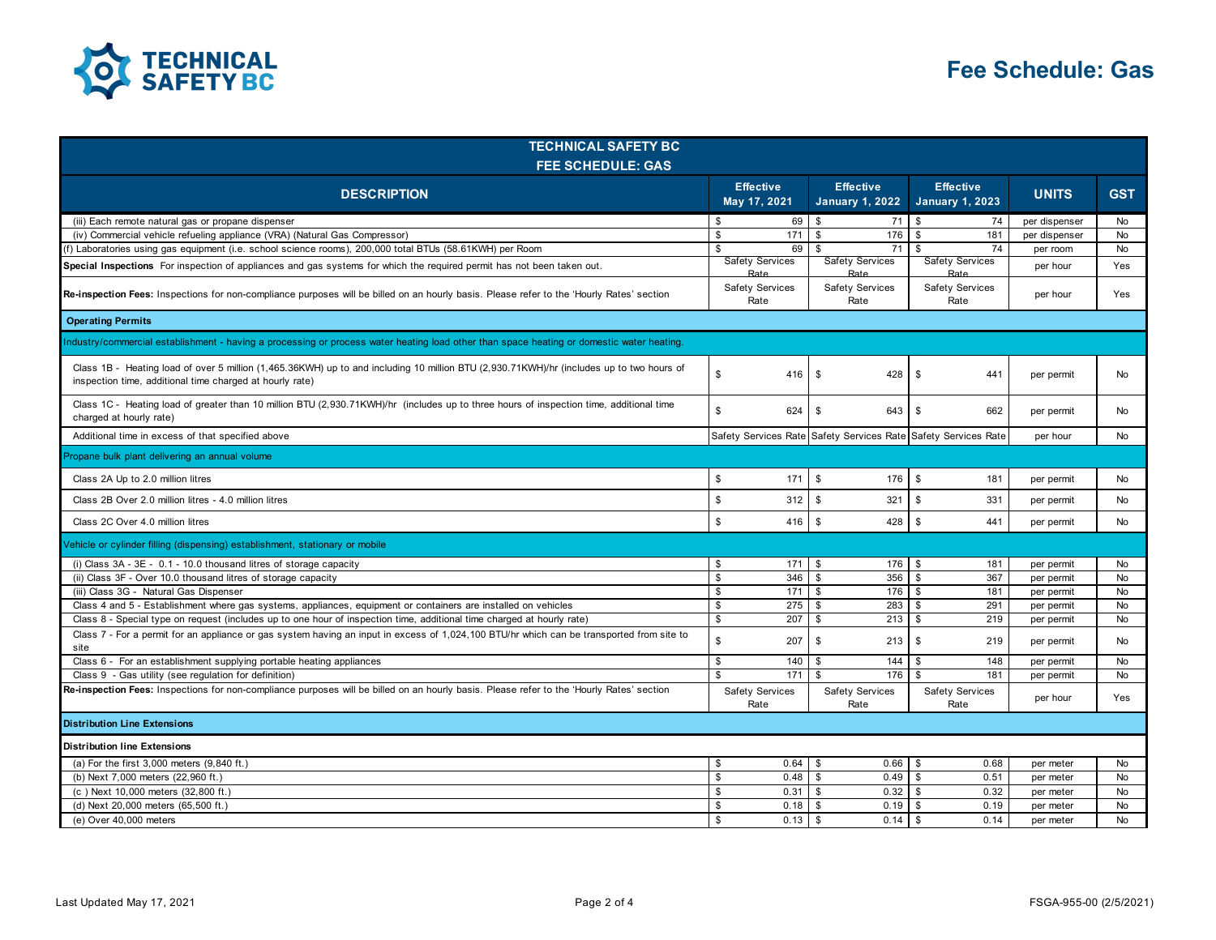

| <b>TECHNICAL SAFETY BC</b><br><b>FEE SCHEDULE: GAS</b>                                                                                                                                               |                                  |                                |                                            |                                                                |               |            |
|------------------------------------------------------------------------------------------------------------------------------------------------------------------------------------------------------|----------------------------------|--------------------------------|--------------------------------------------|----------------------------------------------------------------|---------------|------------|
| <b>DESCRIPTION</b>                                                                                                                                                                                   | <b>Effective</b><br>May 17, 2021 |                                | <b>Effective</b><br><b>January 1, 2022</b> | <b>Effective</b><br><b>January 1, 2023</b>                     | <b>UNITS</b>  | <b>GST</b> |
| (iii) Each remote natural gas or propane dispenser                                                                                                                                                   | \$                               | 69                             | \$<br>71                                   | \$<br>74                                                       | per dispenser | <b>No</b>  |
| (iv) Commercial vehicle refueling appliance (VRA) (Natural Gas Compressor)                                                                                                                           | \$                               | 171                            | \$<br>176                                  | \$<br>181                                                      | per dispenser | <b>No</b>  |
| (f) Laboratories using gas equipment (i.e. school science rooms), 200,000 total BTUs (58.61KWH) per Room                                                                                             | \$                               | 69                             | \$<br>71                                   | \$<br>74                                                       | per room      | No         |
| Special Inspections For inspection of appliances and gas systems for which the required permit has not been taken out.                                                                               |                                  | <b>Safety Services</b><br>Rate | <b>Safety Services</b><br>Rate             | <b>Safety Services</b><br>Rate                                 | per hour      | Yes        |
| Re-inspection Fees: Inspections for non-compliance purposes will be billed on an hourly basis. Please refer to the 'Hourly Rates' section                                                            | Safety Services<br>Rate          |                                | Safety Services<br>Rate                    | <b>Safety Services</b><br>Rate                                 | per hour      | Yes        |
| <b>Operating Permits</b>                                                                                                                                                                             |                                  |                                |                                            |                                                                |               |            |
| Industry/commercial establishment - having a processing or process water heating load other than space heating or domestic water heating.                                                            |                                  |                                |                                            |                                                                |               |            |
| Class 1B - Heating load of over 5 million (1,465.36KWH) up to and including 10 million BTU (2,930.71KWH)/hr (includes up to two hours of<br>inspection time, additional time charged at hourly rate) | $\mathbb{S}$                     | 416                            | \$<br>428                                  | S.<br>441                                                      | per permit    | No         |
| Class 1C - Heating load of greater than 10 million BTU (2,930.71KWH)/hr (includes up to three hours of inspection time, additional time<br>charged at hourly rate)                                   | \$                               | 624                            | \$<br>643                                  | \$<br>662                                                      | per permit    | No         |
| Additional time in excess of that specified above                                                                                                                                                    |                                  |                                |                                            | Safety Services Rate Safety Services Rate Safety Services Rate | per hour      | No         |
| Propane bulk plant delivering an annual volume                                                                                                                                                       |                                  |                                |                                            |                                                                |               |            |
| Class 2A Up to 2.0 million litres                                                                                                                                                                    | \$                               | 171                            | \$<br>176                                  | \$<br>181                                                      | per permit    | No         |
| Class 2B Over 2.0 million litres - 4.0 million litres                                                                                                                                                | \$                               | 312                            | \$<br>321                                  | \$<br>331                                                      | per permit    | No         |
| Class 2C Over 4.0 million litres                                                                                                                                                                     | \$                               | 416                            | <b>S</b><br>428                            | $\mathbb{S}$<br>441                                            | per permit    | No         |
| Vehicle or cylinder filling (dispensing) establishment, stationary or mobile                                                                                                                         |                                  |                                |                                            |                                                                |               |            |
| (i) Class $3A - 3E - 0.1 - 10.0$ thousand litres of storage capacity                                                                                                                                 | \$                               | 171                            | 176<br>\$                                  | \$<br>181                                                      | per permit    | No         |
| (ii) Class 3F - Over 10.0 thousand litres of storage capacity                                                                                                                                        | \$                               | 346                            | \$<br>356                                  | \$<br>367                                                      | per permit    | <b>No</b>  |
| (iii) Class 3G - Natural Gas Dispenser                                                                                                                                                               | \$                               | 171                            | \$<br>176                                  | \$<br>181                                                      | per permit    | <b>No</b>  |
| Class 4 and 5 - Establishment where gas systems, appliances, equipment or containers are installed on vehicles                                                                                       | \$                               | 275                            | \$<br>283                                  | 291<br>\$                                                      | per permit    | <b>No</b>  |
| Class 8 - Special type on request (includes up to one hour of inspection time, additional time charged at hourly rate)                                                                               | \$                               | 207                            | \$<br>213                                  | \$<br>219                                                      | per permit    | No         |
| Class 7 - For a permit for an appliance or gas system having an input in excess of 1,024,100 BTU/hr which can be transported from site to<br>site                                                    | $\mathbb{S}$                     | 207                            | \$<br>213                                  | \$<br>219                                                      | per permit    | No         |
| Class 6 - For an establishment supplying portable heating appliances                                                                                                                                 | \$                               | 140                            | \$<br>144                                  | \$<br>148                                                      | per permit    | No         |
| Class 9 - Gas utility (see regulation for definition)                                                                                                                                                | \$                               | 171                            | \$<br>176                                  | \$<br>181                                                      | per permit    | No         |
| Re-inspection Fees: Inspections for non-compliance purposes will be billed on an hourly basis. Please refer to the 'Hourly Rates' section                                                            |                                  | <b>Safety Services</b><br>Rate | Safety Services<br>Rate                    | <b>Safety Services</b><br>Rate                                 | per hour      | Yes        |
| <b>Distribution Line Extensions</b>                                                                                                                                                                  |                                  |                                |                                            |                                                                |               |            |
| <b>Distribution line Extensions</b>                                                                                                                                                                  |                                  |                                |                                            |                                                                |               |            |
| (a) For the first 3,000 meters (9,840 ft.)                                                                                                                                                           | \$                               | 0.64                           | \$<br>0.66                                 | \$<br>0.68                                                     | per meter     | No         |
| (b) Next 7,000 meters (22,960 ft.)                                                                                                                                                                   | \$                               | 0.48                           | \$<br>0.49                                 | \$<br>0.51                                                     | per meter     | No         |
| (c) Next 10,000 meters (32,800 ft.)                                                                                                                                                                  | \$.                              | 0.31                           | \$<br>0.32                                 | 0.32<br>\$                                                     | per meter     | <b>No</b>  |
| (d) Next 20,000 meters (65,500 ft.)                                                                                                                                                                  | \$.                              | 0.18                           | <sup>\$</sup><br>0.19                      | \$<br>0.19                                                     | per meter     | <b>No</b>  |
| (e) Over 40,000 meters                                                                                                                                                                               | \$                               | 0.13                           | <b>S</b>                                   | 0.14                                                           | per meter     | <b>No</b>  |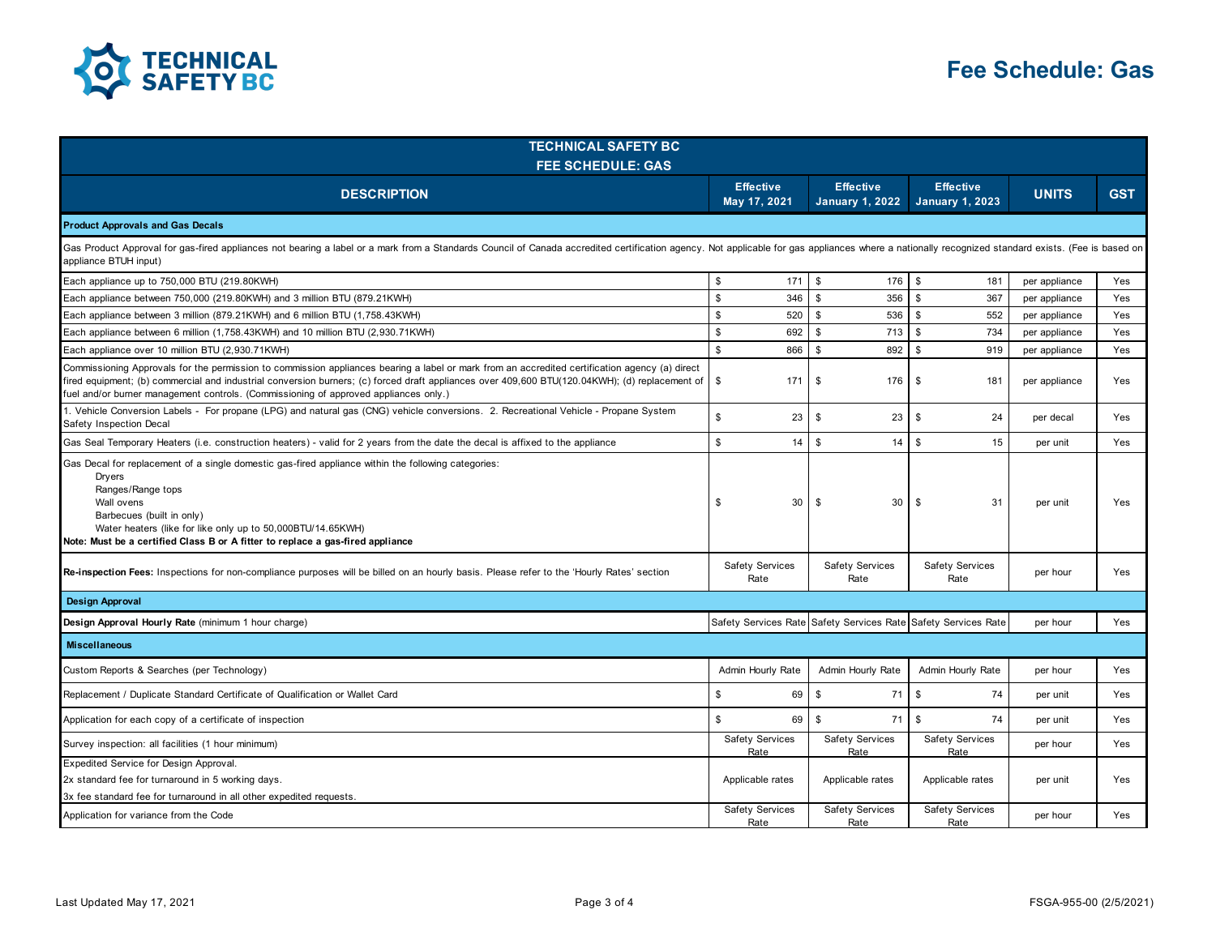

| <b>TECHNICAL SAFETY BC</b><br><b>FEE SCHEDULE: GAS</b>                                                                                                                                                                                                                                                                                                                                   |                                  |                                                                |                                            |               |            |  |
|------------------------------------------------------------------------------------------------------------------------------------------------------------------------------------------------------------------------------------------------------------------------------------------------------------------------------------------------------------------------------------------|----------------------------------|----------------------------------------------------------------|--------------------------------------------|---------------|------------|--|
| <b>DESCRIPTION</b>                                                                                                                                                                                                                                                                                                                                                                       | <b>Effective</b><br>May 17, 2021 | <b>Effective</b><br><b>January 1, 2022</b>                     | <b>Effective</b><br><b>January 1, 2023</b> | <b>UNITS</b>  | <b>GST</b> |  |
| <b>Product Approvals and Gas Decals</b>                                                                                                                                                                                                                                                                                                                                                  |                                  |                                                                |                                            |               |            |  |
| Gas Product Approval for gas-fired appliances not bearing a label or a mark from a Standards Council of Canada accredited certification agency. Not applicable for gas appliances where a nationally recognized standard exist<br>appliance BTUH input)                                                                                                                                  |                                  |                                                                |                                            |               |            |  |
| Each appliance up to 750,000 BTU (219.80KWH)                                                                                                                                                                                                                                                                                                                                             | \$<br>171                        | \$<br>176 \$                                                   | 181                                        | per appliance | Yes        |  |
| Each appliance between 750,000 (219.80KWH) and 3 million BTU (879.21KWH)                                                                                                                                                                                                                                                                                                                 | $\mathbb{S}$<br>346              | $\mathfrak s$<br>356                                           | $\mathbb{S}$<br>367                        | per appliance | Yes        |  |
| Each appliance between 3 million (879.21KWH) and 6 million BTU (1,758.43KWH)                                                                                                                                                                                                                                                                                                             | \$<br>520                        | <b>S</b><br>536                                                | \$<br>552                                  | per appliance | Yes        |  |
| Each appliance between 6 million (1,758.43KWH) and 10 million BTU (2,930.71KWH)                                                                                                                                                                                                                                                                                                          | \$<br>692                        | \$<br>713                                                      | \$<br>734                                  | per appliance | Yes        |  |
| Each appliance over 10 million BTU (2,930.71KWH)                                                                                                                                                                                                                                                                                                                                         | \$<br>866                        | $\mathfrak s$<br>892                                           | \$<br>919                                  | per appliance | Yes        |  |
| Commissioning Approvals for the permission to commission appliances bearing a label or mark from an accredited certification agency (a) direct<br>fired equipment; (b) commercial and industrial conversion burners; (c) forced draft appliances over 409,600 BTU(120.04KWH); (d) replacement of<br>fuel and/or burner management controls. (Commissioning of approved appliances only.) | \$<br>171                        | \$<br>176                                                      | \$<br>181                                  | per appliance | Yes        |  |
| 1. Vehicle Conversion Labels - For propane (LPG) and natural gas (CNG) vehicle conversions. 2. Recreational Vehicle - Propane System<br>Safety Inspection Decal                                                                                                                                                                                                                          | \$<br>23                         | \$<br>23                                                       | \$<br>24                                   | per decal     | Yes        |  |
| Gas Seal Temporary Heaters (i.e. construction heaters) - valid for 2 years from the date the decal is affixed to the appliance                                                                                                                                                                                                                                                           | $$\mathbbmss{}$<br>14            | <b>S</b><br>14                                                 | $\mathbf{s}$<br>15                         | per unit      | Yes        |  |
| Gas Decal for replacement of a single domestic gas-fired appliance within the following categories:<br>Dryers<br>Ranges/Range tops<br>Wall ovens<br>Barbecues (built in only)<br>Water heaters (like for like only up to 50,000BTU/14.65KWH)<br>Note: Must be a certified Class B or A fitter to replace a gas-fired appliance                                                           | 30<br>\$                         | \$<br>30                                                       | \$<br>31                                   | per unit      | Yes        |  |
| Re-inspection Fees: Inspections for non-compliance purposes will be billed on an hourly basis. Please refer to the 'Hourly Rates' section                                                                                                                                                                                                                                                | Safety Services<br>Rate          | Safety Services<br>Rate                                        | <b>Safety Services</b><br>Rate             | per hour      | Yes        |  |
| <b>Design Approval</b>                                                                                                                                                                                                                                                                                                                                                                   |                                  |                                                                |                                            |               |            |  |
| Design Approval Hourly Rate (minimum 1 hour charge)                                                                                                                                                                                                                                                                                                                                      |                                  | Safety Services Rate Safety Services Rate Safety Services Rate |                                            | per hour      | Yes        |  |
| <b>Miscellaneous</b>                                                                                                                                                                                                                                                                                                                                                                     |                                  |                                                                |                                            |               |            |  |
| Custom Reports & Searches (per Technology)                                                                                                                                                                                                                                                                                                                                               | Admin Hourly Rate                | Admin Hourly Rate                                              | Admin Hourly Rate                          | per hour      | Yes        |  |
| Replacement / Duplicate Standard Certificate of Qualification or Wallet Card                                                                                                                                                                                                                                                                                                             | \$<br>69                         | $\mathbb{S}$<br>71                                             | \$<br>74                                   | per unit      | Yes        |  |
| Application for each copy of a certificate of inspection                                                                                                                                                                                                                                                                                                                                 | \$<br>69                         | $\mathbb{S}$<br>71                                             | $\mathbb{S}$<br>74                         | per unit      | Yes        |  |
| Survey inspection: all facilities (1 hour minimum)                                                                                                                                                                                                                                                                                                                                       | <b>Safety Services</b><br>Rate   | <b>Safety Services</b><br>Rate                                 | <b>Safety Services</b><br>Rate             | per hour      | Yes        |  |
| Expedited Service for Design Approval.<br>2x standard fee for turnaround in 5 working days.<br>3x fee standard fee for turnaround in all other expedited requests.                                                                                                                                                                                                                       | Applicable rates                 | Applicable rates                                               | Applicable rates                           | per unit      | Yes        |  |
| Application for variance from the Code                                                                                                                                                                                                                                                                                                                                                   | <b>Safety Services</b><br>Rate   | Safety Services<br>Rate                                        | <b>Safety Services</b><br>Rate             | per hour      | Yes        |  |